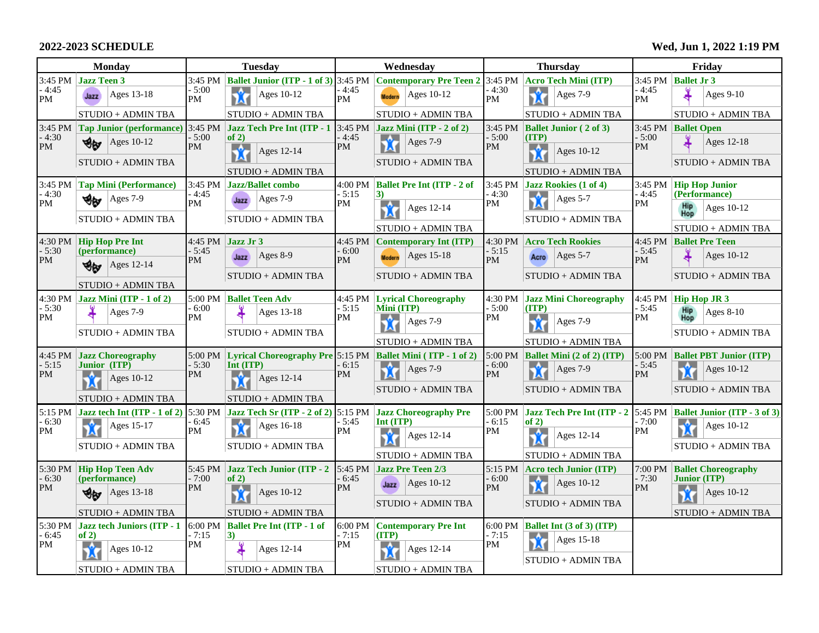## **2022-2023 SCHEDULE**

| <b>Monday</b>        |                                              | <b>Tuesday</b>           |                                                                     | Wednesday               |                                                      | <b>Thursday</b>          |                                                    |                      | Friday                                            |  |
|----------------------|----------------------------------------------|--------------------------|---------------------------------------------------------------------|-------------------------|------------------------------------------------------|--------------------------|----------------------------------------------------|----------------------|---------------------------------------------------|--|
|                      | 3:45 PM Jazz Teen 3                          | 3:45 PM                  | <b>Ballet Junior (ITP - 1 of 3)</b>                                 | 3:45 PM                 | Contemporary Pre Teen 2 3:45 PM Acro Tech Mini (ITP) |                          |                                                    |                      | $3:45$ PM Ballet Jr 3                             |  |
| - 4:45<br>PM         | Ages $13-18$<br>Jazz                         | $-5:00$<br>PM            | Ů<br>Ages 10-12                                                     | - 4:45<br><b>PM</b>     | Ages $10-12$<br><b>Modern</b>                        | - 4:30<br>PM             | Å<br>Ages 7-9                                      | $-4:45$<br><b>PM</b> | Ages 9-10                                         |  |
|                      | STUDIO + ADMIN TBA                           |                          | STUDIO + ADMIN TBA                                                  |                         | STUDIO + ADMIN TBA                                   |                          | STUDIO + ADMIN TBA                                 |                      | STUDIO + ADMIN TBA                                |  |
| $3:45 \text{ PM}$    | <b>Tap Junior (performance)</b>              | $3:45 \text{ PM}$        | <b>Jazz Tech Pre Int (ITP - 1)</b>                                  |                         | 3:45 PM $\vert$ Jazz Mini (ITP - 2 of 2)             |                          | $3:45$ PM Ballet Junior (2 of 3)                   |                      | 3:45 PM Ballet Open                               |  |
| $-4:30$<br>PM        | Ages 10-12<br>৩⊌                             | $-5:00$<br><b>PM</b>     | of $2)$<br>$\mathcal{A}$<br>Ages 12-14                              | $-4:45$<br><b>PM</b>    | Ů<br>Ages 7-9                                        | $-5:00$<br>PM            | (TTP)<br>$\mathbf{\hat{X}}$<br>Ages 10-12          | $-5:00$<br><b>PM</b> | Ages 12-18                                        |  |
|                      | STUDIO + ADMIN TBA                           |                          | X<br>STUDIO + ADMIN TBA                                             |                         | STUDIO + ADMIN TBA                                   |                          | STUDIO + ADMIN TBA                                 |                      | STUDIO + ADMIN TBA                                |  |
| $3:45 \text{ PM}$    | <b>Tap Mini (Performance)</b>                | 3:45 PM<br>- 4:45<br>PM  | <b>Jazz/Ballet combo</b>                                            | 4:00 PM<br>- 5:15<br>PM | <b>Ballet Pre Int (ITP - 2 of</b>                    |                          | $3:45$ PM $\vert$ Jazz Rookies (1 of 4)            | 3:45 PM              | <b>Hip Hop Junior</b>                             |  |
| $-4:30$<br>PM        | $ Ages 7-9$<br>۴w                            |                          | Ages $7-9$<br>Jazz                                                  |                         | $-4:30$<br>3)                                        | Ů<br>Ages 5-7            | $-4:45$                                            | (Performance)        |                                                   |  |
|                      | STUDIO + ADMIN TBA                           |                          | STUDIO + ADMIN TBA                                                  |                         | $\mathcal{A}$<br>Ages 12-14                          | PM                       | STUDIO + ADMIN TBA                                 | PM                   | <b>Hip</b><br>Ages 10-12<br>Hop                   |  |
|                      |                                              |                          |                                                                     |                         | STUDIO + ADMIN TBA                                   |                          |                                                    |                      | STUDIO + ADMIN TBA                                |  |
|                      | $4:30$ PM $ $ Hip Hop Pre Int                | $-5:45$<br><b>PM</b>     | 4:45 PM Jazz Jr 3                                                   | $-6:00$<br>PM           | 4:45 PM Contemporary Int (ITP)                       | $-5:15$<br>PM            | 4:30 PM Acro Tech Rookies                          | $-5:45$<br>PM        | 4:45 PM Ballet Pre Teen                           |  |
| $-5:30$<br><b>PM</b> | (performance)<br>খ∗<br>Ages 12-14            |                          | Ages 8-9<br>Jazz                                                    |                         | $ {\rm Ages}$ 15-18<br><b>Modern</b>                 |                          | $ {\rm Ages}$ 5-7<br>Acro                          |                      | Ages $10-12$                                      |  |
|                      |                                              |                          | STUDIO + ADMIN TBA                                                  |                         | STUDIO + ADMIN TBA                                   |                          | STUDIO + ADMIN TBA                                 |                      | STUDIO + ADMIN TBA                                |  |
|                      | STUDIO + ADMIN TBA                           |                          |                                                                     |                         |                                                      |                          |                                                    |                      |                                                   |  |
| $-5:30$              | $4:30$ PM $\vert$ Jazz Mini (ITP - 1 of 2)   | $5:00$ PM<br>$-6:00$     | <b>Ballet Teen Adv</b>                                              | $-5:15$                 | 4:45 PM Lyrical Choreography<br>Mini (ITP)           | $-5:00$                  | 4:30 PM Jazz Mini Choreography<br>(TTP)            | 4:45 PM<br>$-5:45$   | <b>Hip Hop JR 3</b>                               |  |
| PM                   | Ages $7-9$                                   | PM                       | Ages 13-18                                                          | PM                      | Ages 7-9<br>M                                        | PM                       | Ages 7-9<br>M                                      | PM                   | <b>Hip</b><br>$Ages 8-10$<br>Hop                  |  |
|                      | STUDIO + ADMIN TBA                           |                          | STUDIO + ADMIN TBA                                                  |                         | STUDIO + ADMIN TBA                                   |                          | STUDIO + ADMIN TBA                                 |                      | STUDIO + ADMIN TBA                                |  |
| 4:45 PM              | <b>Jazz Choreography</b>                     |                          | 5:00 PM Lyrical Choreography Pre 5:15 PM Ballet Mini (ITP - 1 of 2) |                         |                                                      |                          | 5:00 PM   Ballet Mini $(2 \text{ of } 2)$ (ITP)    |                      | 5:00 PM Ballet PBT Junior (ITP)                   |  |
| - 5:15<br>PM         | <b>Junior</b> (ITP)                          | $-5:30$                  | Int (ITP)                                                           | - 6:15                  | <b>A</b><br>Ages 7-9                                 | - 6:00                   | Ages 7-9                                           | $-5:45$              | Ages $10-12$                                      |  |
|                      | Ages $10-12$                                 | PM                       | Ages 12-14                                                          | PM                      | M<br>STUDIO + ADMIN TBA                              | <b>PM</b>                | M<br>STUDIO + ADMIN TBA                            | <b>PM</b>            | M<br>STUDIO + ADMIN TBA                           |  |
|                      | STUDIO + ADMIN TBA                           |                          | STUDIO + ADMIN TBA                                                  |                         |                                                      |                          |                                                    |                      |                                                   |  |
| 5:15 PM              | Jazz tech Int (ITP - 1 of 2)                 | 5:30 PM                  | Jazz Tech Sr (ITP - 2 of 2) $5:15 \text{ PM}$                       |                         | <b>Jazz Choreography Pre</b>                         |                          | 5:00 PM Jazz Tech Pre Int (ITP - 2 5:45 PM         |                      | <b>Ballet Junior (ITP - 3 of 3)</b>               |  |
| $-6:30$<br>PM        | Ů<br>Ages 15-17                              | $-6:45$<br><b>PM</b>     | Å<br>Ages 16-18                                                     | - 5:45<br>PM            | Int (ITP)<br>貪<br>Ages 12-14                         | $-6:15$<br>$\mathbf{PM}$ | of $2)$<br>-A<br>Ages 12-14                        | $-7:00$<br>PM        | Ages 10-12<br>X                                   |  |
|                      | STUDIO + ADMIN TBA                           |                          | STUDIO + ADMIN TBA                                                  |                         |                                                      |                          | M                                                  |                      | STUDIO + ADMIN TBA                                |  |
|                      |                                              |                          |                                                                     |                         | STUDIO + ADMIN TBA                                   |                          | STUDIO + ADMIN TBA                                 |                      |                                                   |  |
| $-6:30$              | 5:30 PM Hip Hop Teen Adv<br>(performance)    | $-7:00$                  | 5:45 PM Jazz Tech Junior (ITP - 2<br>of $2)$                        | $-6:45$                 | 5:45 PM $\vert$ Jazz Pre Teen 2/3<br>Ages 10-12      | - 6:00                   | 5:15 PM   Acro tech Junior (ITP)<br>Ages 10-12     | 7:00 PM<br>$-7:30$   | <b>Ballet Choreography</b><br><b>Junior (ITP)</b> |  |
| PM                   | Ages 13-18<br>৩⊌                             | PM<br>$\mathbf{\hat{r}}$ | Ages 10-12                                                          | PM                      | Jazz                                                 | PM                       |                                                    | PM                   | Ages 10-12                                        |  |
|                      | STUDIO + ADMIN TBA                           |                          | STUDIO + ADMIN TBA                                                  |                         | STUDIO + ADMIN TBA                                   |                          | STUDIO + ADMIN TBA                                 |                      | STUDIO + ADMIN TBA                                |  |
|                      | $5:30$ PM $\vert$ Jazz tech Juniors (ITP - 1 | - 7:15<br>$ 3\rangle$    | $6:00 \text{ PM}$ Ballet Pre Int (ITP - 1 of                        | 6:00 PM<br>$-7:15$      | <b>Contemporary Pre Int</b>                          |                          | $6:00 \text{ PM}$ <b>Ballet Int (3 of 3) (ITP)</b> |                      |                                                   |  |
| $-6:45$              | of $2)$                                      |                          |                                                                     |                         | (TTP)                                                | - 7:15                   | Ages 15-18                                         |                      |                                                   |  |
| <b>PM</b>            | -6.<br>Ages 10-12<br>M                       | PM                       | Ages 12-14                                                          | PM                      | -6.<br>Ages 12-14<br>М                               | PM                       | STUDIO + ADMIN TBA                                 |                      |                                                   |  |
|                      | STUDIO + ADMIN TBA                           |                          | STUDIO + ADMIN TBA                                                  |                         | STUDIO + ADMIN TBA                                   |                          |                                                    |                      |                                                   |  |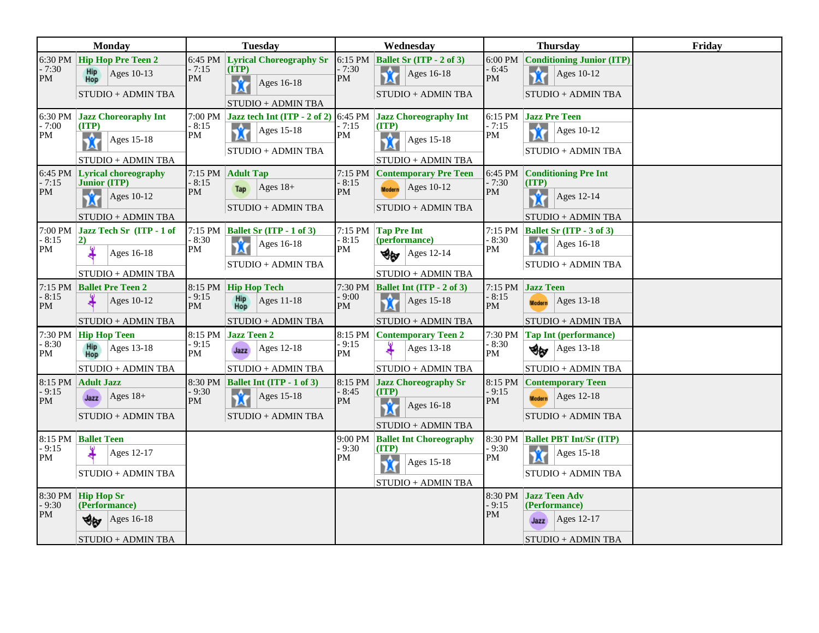| <b>Monday</b>                      |                                                                                                 | <b>Tuesday</b>                                                                                              | Wednesday                                                                                                     | <b>Thursday</b>                                                                                             | Friday |
|------------------------------------|-------------------------------------------------------------------------------------------------|-------------------------------------------------------------------------------------------------------------|---------------------------------------------------------------------------------------------------------------|-------------------------------------------------------------------------------------------------------------|--------|
| $6:30 \text{ PM}$<br>$-7:30$<br>PM | <b>Hip Hop Pre Teen 2</b><br>Hip<br>Hop<br>Ages 10-13<br>STUDIO + ADMIN TBA                     | <b>Lyrical Choreography Sr</b><br>6:45 PM<br>- 7:15<br>(TTP)<br>PM<br>Å<br>Ages 16-18<br>STUDIO + ADMIN TBA | 6:15 PM<br><b>Ballet Sr (ITP - 2 of 3)</b><br>- 7:30<br>食<br>Ages 16-18<br>PM<br>STUDIO + ADMIN TBA           | 6:00 PM Conditioning Junior (ITP)<br>- 6:45<br>Ů<br>Ages 10-12<br>PM<br>STUDIO + ADMIN TBA                  |        |
| $-7:00$<br>PM                      | 6:30 PM Jazz Choreoraphy Int<br>(TTP)<br>$\mathcal{A}$<br>Ages 15-18<br>M<br>STUDIO + ADMIN TBA | 7:00 PM Jazz tech Int (ITP - 2 of 2) 6:45 PM<br>- 8:15<br>Ů<br>Ages 15-18<br>PM<br>STUDIO + ADMIN TBA       | <b>Jazz Choreography Int</b><br>(ITP)<br>- 7:15<br>PM<br>貪<br>Ages 15-18<br>STUDIO + ADMIN TBA                | 6:15 PM Jazz Pre Teen<br>$-7:15$<br>Ů<br>Ages 10-12<br>PM<br>STUDIO + ADMIN TBA                             |        |
| 6:45 PM<br>$-7:15$<br>PM           | <b>Lyrical choreography</b><br><b>Junior (ITP)</b><br>貪<br>Ages 10-12<br>STUDIO + ADMIN TBA     | 7:15 PM<br><b>Adult Tap</b><br>$-8:15$<br>$Ages 18+$<br>Tap<br>PM<br>STUDIO + ADMIN TBA                     | 7:15 PM<br><b>Contemporary Pre Teen</b><br>$-8:15$<br>Ages 10-12<br><b>Modern</b><br>PM<br>STUDIO + ADMIN TBA | 6:45 PM<br><b>Conditioning Pre Int</b><br>- 7:30<br>(TTP)<br>PM<br>貪<br>Ages 12-14<br>STUDIO + ADMIN TBA    |        |
| $-8:15$<br>PM                      | $7:00 \text{ PM}$ Jazz Tech Sr (ITP - 1 of<br>$\vert 2)$<br>Ages 16-18<br>STUDIO + ADMIN TBA    | 7:15 PM Ballet Sr (ITP - 1 of 3)<br>8:30<br>Ů<br>Ages 16-18<br>PM<br>$STUDIO + ADMIN$ $TBA$                 | 7:15 PM<br><b>Tap Pre Int</b><br>- 8:15<br>(performance)<br>PM<br>Ages 12-14<br>৩⊌<br>STUDIO + ADMIN TBA      | 7:15 PM Ballet Sr (ITP - 3 of 3)<br>- 8:30<br>貪<br>Ages 16-18<br>PM<br>STUDIO + ADMIN TBA                   |        |
| $-8:15$<br>PM                      | 7:15 PM Ballet Pre Teen 2<br>Ages 10-12<br>STUDIO + ADMIN TBA                                   | 8:15 PM Hip Hop Tech<br>- 9:15<br>Hip<br>Ages 11-18<br>PM<br>Hop<br>STUDIO + ADMIN TBA                      | 7:30 PM   Ballet Int (ITP - 2 of 3)<br>- 9:00<br>貪<br>Ages 15-18<br>PM<br>STUDIO + ADMIN TBA                  | Jazz Teen<br>7:15 PM<br>$-8:15$<br>$ {\rm Ages}$ 13-18<br><b>Modern</b><br>PM<br>STUDIO + ADMIN TBA         |        |
| $-8:30$<br>PM                      | $7:30$ PM $\vert$ Hip Hop Teen<br>Hip<br>Ages $13-18$<br>Hop<br>STUDIO + ADMIN TBA              | 8:15 PM Jazz Teen 2<br>- 9:15<br>$ {\rm Ages}$ 12-18<br>Jazz<br><b>PM</b><br>STUDIO + ADMIN TBA             | 8:15 PM Contemporary Teen 2<br>- 9:15<br>Ages 13-18<br>PM<br>STUDIO + ADMIN TBA                               | 7:30 PM<br><b>Tap Int (performance)</b><br>$-8:30$<br>$\bigotimes$   Ages 13-18<br>PM<br>STUDIO + ADMIN TBA |        |
| $-9:15$<br>PM                      | 8:15 PM Adult Jazz<br>$\text{Ages} 18+$<br>Jazz<br>STUDIO + ADMIN TBA                           | 8:30 PM Ballet Int (ITP - 1 of 3)<br>- 9:30<br>$\mathbf{\hat{r}}$<br>Ages 15-18<br>PM<br>STUDIO + ADMIN TBA | 8:15 PM Jazz Choreography Sr<br>(TTP)<br>- 8:45<br>PM<br>-6.<br>Ages 16-18<br>hМ<br>STUDIO + ADMIN TBA        | 8:15 PM<br><b>Contemporary Teen</b><br>$-9:15$<br>Modern $Ages 12-18$<br>PM<br>STUDIO + ADMIN TBA           |        |
| $-9:15$<br>PM                      | 8:15 PM Ballet Teen<br>Ages 12-17<br>STUDIO + ADMIN TBA                                         |                                                                                                             | 9:00 PM<br><b>Ballet Int Choreography</b><br>$-9:30$<br>(TTP)<br>PM<br>貪<br>Ages 15-18<br>STUDIO + ADMIN TBA  | 8:30 PM Ballet PBT Int/Sr (ITP)<br>- 9:30<br>Ages $15-18$<br>M<br>PM<br>STUDIO + ADMIN TBA                  |        |
| 8:30 PM<br>$-9:30$<br>PM           | <b>Hip Hop Sr</b><br>(Performance)<br>Ages 16-18<br>∀⊌<br>STUDIO + ADMIN TBA                    |                                                                                                             |                                                                                                               | 8:30 PM<br><b>Jazz Teen Adv</b><br>- 9:15<br>(Performance)<br>PM<br>Jazz Ages $12-17$<br>STUDIO + ADMIN TBA |        |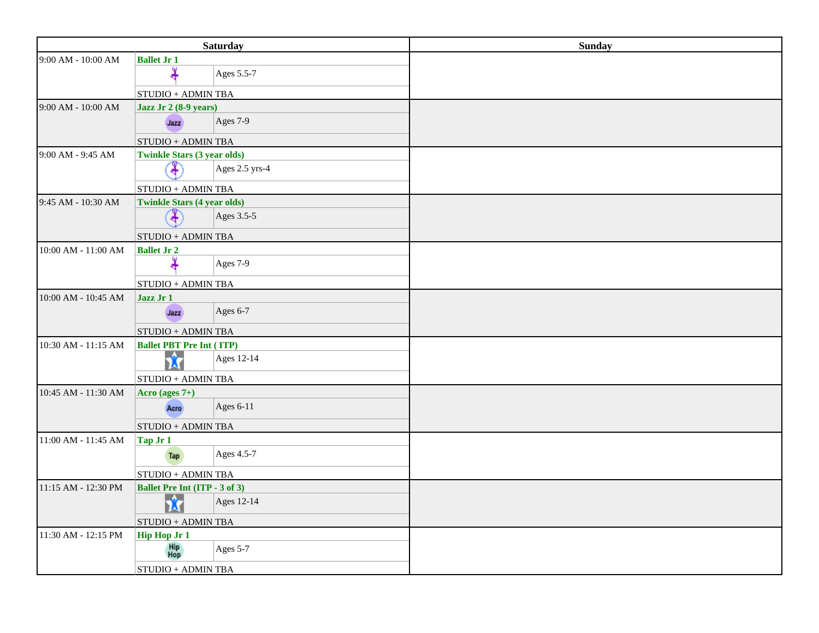|                     | <b>Saturday</b>                      | <b>Sunday</b> |
|---------------------|--------------------------------------|---------------|
| 9:00 AM - 10:00 AM  | <b>Ballet Jr 1</b>                   |               |
|                     | Ages 5.5-7                           |               |
|                     | $STUDIO + ADMIN$ TBA                 |               |
| 9:00 AM - 10:00 AM  | Jazz Jr 2 (8-9 years)                |               |
|                     | Ages $7-9$<br>Jazz                   |               |
|                     | <b>STUDIO + ADMIN TBA</b>            |               |
| 9:00 AM - 9:45 AM   | <b>Twinkle Stars (3 year olds)</b>   |               |
|                     | ⊕<br>Ages 2.5 yrs-4                  |               |
|                     | <b>STUDIO + ADMIN TBA</b>            |               |
| 9:45 AM - 10:30 AM  | <b>Twinkle Stars (4 year olds)</b>   |               |
|                     | ¥<br>Ages 3.5-5                      |               |
|                     | STUDIO + ADMIN TBA                   |               |
| 10:00 AM - 11:00 AM | <b>Ballet Jr 2</b>                   |               |
|                     | Ages 7-9                             |               |
|                     | STUDIO + ADMIN TBA                   |               |
| 10:00 AM - 10:45 AM | Jazz Jr 1                            |               |
|                     | Ages $6-7$<br>Jazz                   |               |
|                     | STUDIO + ADMIN TBA                   |               |
| 10:30 AM - 11:15 AM | <b>Ballet PBT Pre Int (ITP)</b>      |               |
|                     | Ů<br>Ages 12-14                      |               |
|                     | $STUDIO + ADMIN$ TBA                 |               |
| 10:45 AM - 11:30 AM | Acro (ages $7+$ )                    |               |
|                     | Ages $6-11$<br>Acro                  |               |
|                     | <b>STUDIO + ADMIN TBA</b>            |               |
| 11:00 AM - 11:45 AM | Tap Jr 1                             |               |
|                     | Ages 4.5-7<br>Tap                    |               |
|                     | <b>STUDIO + ADMIN TBA</b>            |               |
| 11:15 AM - 12:30 PM | <b>Ballet Pre Int (ITP - 3 of 3)</b> |               |
|                     | 贪<br>Ages 12-14                      |               |
|                     | STUDIO + ADMIN TBA                   |               |
| 11:30 AM - 12:15 PM | <b>Hip Hop Jr 1</b>                  |               |
|                     | Hip<br>Hop<br>Ages $5-7$             |               |
|                     | <b>STUDIO + ADMIN TBA</b>            |               |